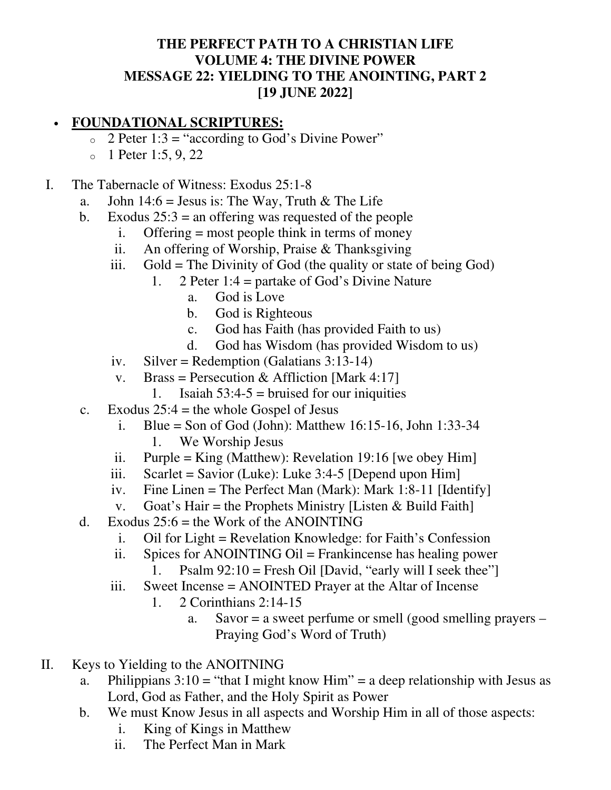## **THE PERFECT PATH TO A CHRISTIAN LIFE VOLUME 4: THE DIVINE POWER MESSAGE 22: YIELDING TO THE ANOINTING, PART 2 [19 JUNE 2022]**

## • **FOUNDATIONAL SCRIPTURES:**

- $\circ$  2 Peter 1:3 = "according to God's Divine Power"
- $_0$  1 Peter 1:5, 9, 22
- I. The Tabernacle of Witness: Exodus 25:1-8
	- a. John 14:6 = Jesus is: The Way, Truth & The Life
	- b. Exodus  $25:3$  = an offering was requested of the people
		- i. Offering = most people think in terms of money
		- ii. An offering of Worship, Praise & Thanksgiving
		- iii. Gold = The Divinity of God (the quality or state of being God)
			- 1. 2 Peter 1:4 = partake of God's Divine Nature
				- a. God is Love
				- b. God is Righteous
				- c. God has Faith (has provided Faith to us)
				- d. God has Wisdom (has provided Wisdom to us)
		- iv. Silver = Redemption (Galatians 3:13-14)
		- v. Brass = Persecution & Affliction [Mark 4:17]
			- 1. Isaiah  $53:4-5$  = bruised for our iniquities
	- c. Exodus  $25:4$  = the whole Gospel of Jesus
		- i. Blue = Son of God (John): Matthew 16:15-16, John 1:33-34 1. We Worship Jesus
		- ii. Purple = King (Matthew): Revelation 19:16 [we obey Him]
		- iii. Scarlet = Savior (Luke): Luke  $3:4-5$  [Depend upon Him]
		- iv. Fine Linen = The Perfect Man (Mark): Mark 1:8-11 [Identify]
		- v. Goat's Hair = the Prophets Ministry [Listen & Build Faith]
	- d. Exodus  $25:6$  = the Work of the ANOINTING
		- i. Oil for Light = Revelation Knowledge: for Faith's Confession
		- ii. Spices for ANOINTING Oil = Frankincense has healing power
			- 1. Psalm  $92:10$  = Fresh Oil [David, "early will I seek thee"]
		- iii. Sweet Incense = ANOINTED Prayer at the Altar of Incense
			- 1. 2 Corinthians 2:14-15
				- a. Savor = a sweet perfume or smell (good smelling prayers Praying God's Word of Truth)
- II. Keys to Yielding to the ANOITNING
	- a. Philippians  $3:10 =$  "that I might know Him" = a deep relationship with Jesus as Lord, God as Father, and the Holy Spirit as Power
	- b. We must Know Jesus in all aspects and Worship Him in all of those aspects:
		- i. King of Kings in Matthew
		- ii. The Perfect Man in Mark